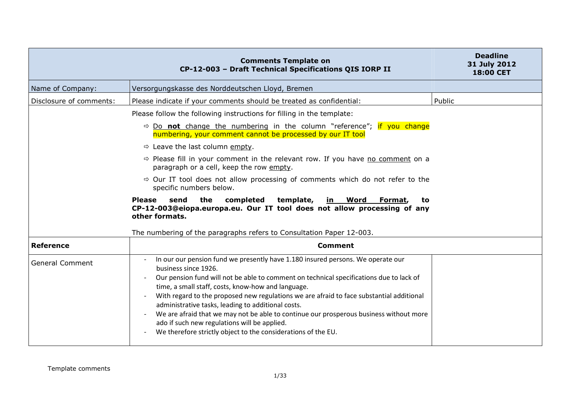|                         | <b>Comments Template on</b><br>CP-12-003 - Draft Technical Specifications QIS IORP II                                                                                                                                                                                                                                                                                                                                                                                                                                                                                                                                 | <b>Deadline</b><br>31 July 2012<br><b>18:00 CET</b> |
|-------------------------|-----------------------------------------------------------------------------------------------------------------------------------------------------------------------------------------------------------------------------------------------------------------------------------------------------------------------------------------------------------------------------------------------------------------------------------------------------------------------------------------------------------------------------------------------------------------------------------------------------------------------|-----------------------------------------------------|
| Name of Company:        | Versorgungskasse des Norddeutschen Lloyd, Bremen                                                                                                                                                                                                                                                                                                                                                                                                                                                                                                                                                                      |                                                     |
| Disclosure of comments: | Please indicate if your comments should be treated as confidential:                                                                                                                                                                                                                                                                                                                                                                                                                                                                                                                                                   | Public                                              |
|                         | Please follow the following instructions for filling in the template:                                                                                                                                                                                                                                                                                                                                                                                                                                                                                                                                                 |                                                     |
|                         | $\Rightarrow$ Do not change the numbering in the column "reference"; if you change<br>numbering, your comment cannot be processed by our IT tool                                                                                                                                                                                                                                                                                                                                                                                                                                                                      |                                                     |
|                         | $\Rightarrow$ Leave the last column empty.                                                                                                                                                                                                                                                                                                                                                                                                                                                                                                                                                                            |                                                     |
|                         | $\Rightarrow$ Please fill in your comment in the relevant row. If you have no comment on a<br>paragraph or a cell, keep the row empty.                                                                                                                                                                                                                                                                                                                                                                                                                                                                                |                                                     |
|                         | $\Rightarrow$ Our IT tool does not allow processing of comments which do not refer to the<br>specific numbers below.                                                                                                                                                                                                                                                                                                                                                                                                                                                                                                  |                                                     |
|                         | the<br><b>Please</b><br>send<br>completed<br>template,<br>in Word<br>Format,<br>to<br>CP-12-003@eiopa.europa.eu. Our IT tool does not allow processing of any<br>other formats.                                                                                                                                                                                                                                                                                                                                                                                                                                       |                                                     |
|                         | The numbering of the paragraphs refers to Consultation Paper 12-003.                                                                                                                                                                                                                                                                                                                                                                                                                                                                                                                                                  |                                                     |
| <b>Reference</b>        | <b>Comment</b>                                                                                                                                                                                                                                                                                                                                                                                                                                                                                                                                                                                                        |                                                     |
| <b>General Comment</b>  | In our our pension fund we presently have 1.180 insured persons. We operate our<br>business since 1926.<br>Our pension fund will not be able to comment on technical specifications due to lack of<br>time, a small staff, costs, know-how and language.<br>With regard to the proposed new regulations we are afraid to face substantial additional<br>administrative tasks, leading to additional costs.<br>We are afraid that we may not be able to continue our prosperous business without more<br>ado if such new regulations will be applied.<br>We therefore strictly object to the considerations of the EU. |                                                     |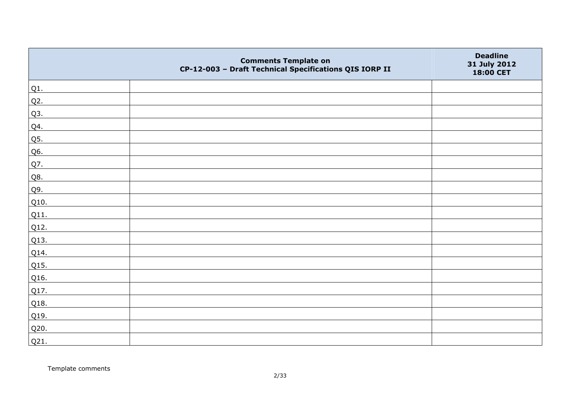|        | <b>Comments Template on</b><br>CP-12-003 - Draft Technical Specifications QIS IORP II | <b>Deadline</b><br>31 July 2012<br>18:00 CET |
|--------|---------------------------------------------------------------------------------------|----------------------------------------------|
| $Q1$ . |                                                                                       |                                              |
| $Q2$ . |                                                                                       |                                              |
| Q3.    |                                                                                       |                                              |
| Q4.    |                                                                                       |                                              |
| Q5.    |                                                                                       |                                              |
| Q6.    |                                                                                       |                                              |
| Q7.    |                                                                                       |                                              |
| Q8.    |                                                                                       |                                              |
| Q9.    |                                                                                       |                                              |
| Q10.   |                                                                                       |                                              |
| Q11.   |                                                                                       |                                              |
| Q12.   |                                                                                       |                                              |
| Q13.   |                                                                                       |                                              |
| Q14.   |                                                                                       |                                              |
| Q15.   |                                                                                       |                                              |
| Q16.   |                                                                                       |                                              |
| Q17.   |                                                                                       |                                              |
| Q18.   |                                                                                       |                                              |
| Q19.   |                                                                                       |                                              |
| Q20.   |                                                                                       |                                              |
| Q21.   |                                                                                       |                                              |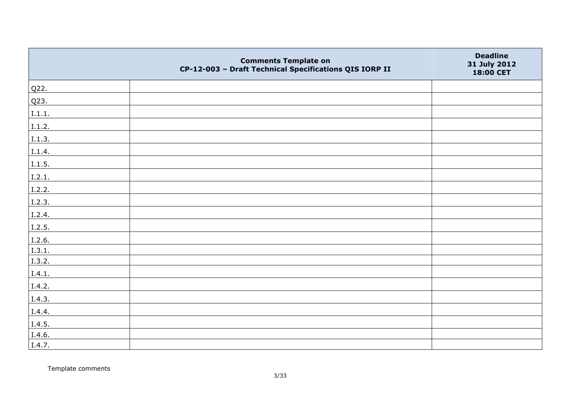|        | <b>Comments Template on</b><br>CP-12-003 - Draft Technical Specifications QIS IORP II | <b>Deadline</b><br>31 July 2012<br>18:00 CET |
|--------|---------------------------------------------------------------------------------------|----------------------------------------------|
| Q22.   |                                                                                       |                                              |
| Q23.   |                                                                                       |                                              |
| I.1.1. |                                                                                       |                                              |
| I.1.2. |                                                                                       |                                              |
| I.1.3. |                                                                                       |                                              |
| I.1.4. |                                                                                       |                                              |
| I.1.5. |                                                                                       |                                              |
| I.2.1. |                                                                                       |                                              |
| I.2.2. |                                                                                       |                                              |
| I.2.3. |                                                                                       |                                              |
| I.2.4. |                                                                                       |                                              |
| I.2.5. |                                                                                       |                                              |
| I.2.6. |                                                                                       |                                              |
| I.3.1. |                                                                                       |                                              |
| I.3.2. |                                                                                       |                                              |
| I.4.1. |                                                                                       |                                              |
| I.4.2. |                                                                                       |                                              |
| I.4.3. |                                                                                       |                                              |
| I.4.4. |                                                                                       |                                              |
| I.4.5. |                                                                                       |                                              |
| I.4.6. |                                                                                       |                                              |
| I.4.7. |                                                                                       |                                              |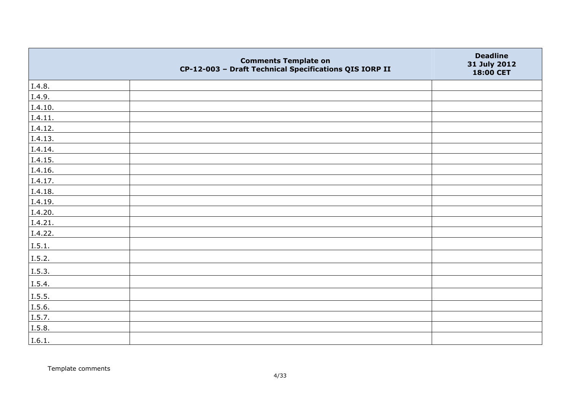|         | <b>Comments Template on</b><br>CP-12-003 - Draft Technical Specifications QIS IORP II | <b>Deadline</b><br>31 July 2012<br>18:00 CET |
|---------|---------------------------------------------------------------------------------------|----------------------------------------------|
| I.4.8.  |                                                                                       |                                              |
| I.4.9.  |                                                                                       |                                              |
| I.4.10. |                                                                                       |                                              |
| I.4.11. |                                                                                       |                                              |
| I.4.12. |                                                                                       |                                              |
| I.4.13. |                                                                                       |                                              |
| I.4.14. |                                                                                       |                                              |
| I.4.15. |                                                                                       |                                              |
| I.4.16. |                                                                                       |                                              |
| I.4.17. |                                                                                       |                                              |
| I.4.18. |                                                                                       |                                              |
| I.4.19. |                                                                                       |                                              |
| I.4.20. |                                                                                       |                                              |
| I.4.21. |                                                                                       |                                              |
| I.4.22. |                                                                                       |                                              |
| I.5.1.  |                                                                                       |                                              |
| I.5.2.  |                                                                                       |                                              |
| I.5.3.  |                                                                                       |                                              |
| I.5.4.  |                                                                                       |                                              |
| I.5.5.  |                                                                                       |                                              |
| I.5.6.  |                                                                                       |                                              |
| I.5.7.  |                                                                                       |                                              |
| I.5.8.  |                                                                                       |                                              |
| I.6.1.  |                                                                                       |                                              |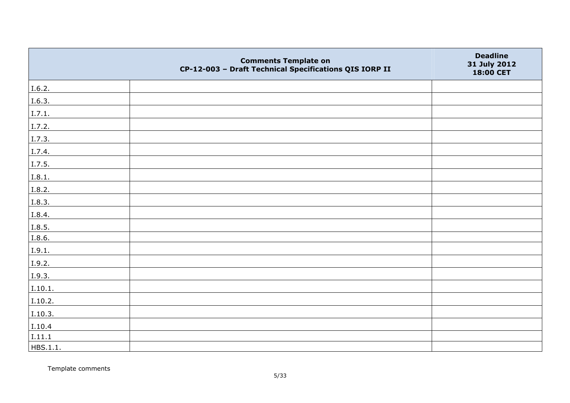|          | <b>Comments Template on</b><br>CP-12-003 - Draft Technical Specifications QIS IORP II | <b>Deadline</b><br>31 July 2012<br>18:00 CET |
|----------|---------------------------------------------------------------------------------------|----------------------------------------------|
| I.6.2.   |                                                                                       |                                              |
| I.6.3.   |                                                                                       |                                              |
| I.7.1.   |                                                                                       |                                              |
| I.7.2.   |                                                                                       |                                              |
| I.7.3.   |                                                                                       |                                              |
| I.7.4.   |                                                                                       |                                              |
| I.7.5.   |                                                                                       |                                              |
| I.8.1.   |                                                                                       |                                              |
| I.8.2.   |                                                                                       |                                              |
| I.8.3.   |                                                                                       |                                              |
| I.8.4.   |                                                                                       |                                              |
| I.8.5.   |                                                                                       |                                              |
| I.8.6.   |                                                                                       |                                              |
| I.9.1.   |                                                                                       |                                              |
| I.9.2.   |                                                                                       |                                              |
| I.9.3.   |                                                                                       |                                              |
| I.10.1.  |                                                                                       |                                              |
| I.10.2.  |                                                                                       |                                              |
| I.10.3.  |                                                                                       |                                              |
| I.10.4   |                                                                                       |                                              |
| I.11.1   |                                                                                       |                                              |
| HBS.1.1. |                                                                                       |                                              |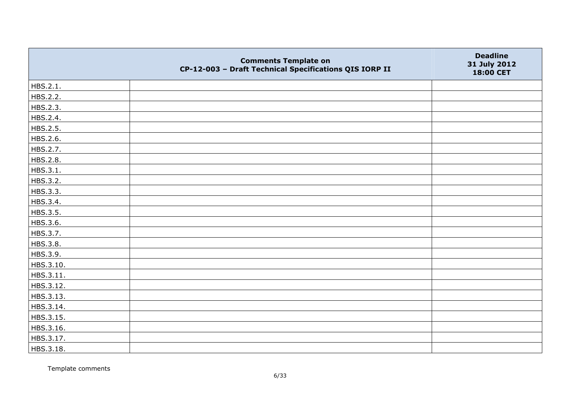|           | <b>Comments Template on</b><br>CP-12-003 - Draft Technical Specifications QIS IORP II | <b>Deadline</b><br>31 July 2012<br>18:00 CET |
|-----------|---------------------------------------------------------------------------------------|----------------------------------------------|
| HBS.2.1.  |                                                                                       |                                              |
| HBS.2.2.  |                                                                                       |                                              |
| HBS.2.3.  |                                                                                       |                                              |
| HBS.2.4.  |                                                                                       |                                              |
| HBS.2.5.  |                                                                                       |                                              |
| HBS.2.6.  |                                                                                       |                                              |
| HBS.2.7.  |                                                                                       |                                              |
| HBS.2.8.  |                                                                                       |                                              |
| HBS.3.1.  |                                                                                       |                                              |
| HBS.3.2.  |                                                                                       |                                              |
| HBS.3.3.  |                                                                                       |                                              |
| HBS.3.4.  |                                                                                       |                                              |
| HBS.3.5.  |                                                                                       |                                              |
| HBS.3.6.  |                                                                                       |                                              |
| HBS.3.7.  |                                                                                       |                                              |
| HBS.3.8.  |                                                                                       |                                              |
| HBS.3.9.  |                                                                                       |                                              |
| HBS.3.10. |                                                                                       |                                              |
| HBS.3.11. |                                                                                       |                                              |
| HBS.3.12. |                                                                                       |                                              |
| HBS.3.13. |                                                                                       |                                              |
| HBS.3.14. |                                                                                       |                                              |
| HBS.3.15. |                                                                                       |                                              |
| HBS.3.16. |                                                                                       |                                              |
| HBS.3.17. |                                                                                       |                                              |
| HBS.3.18. |                                                                                       |                                              |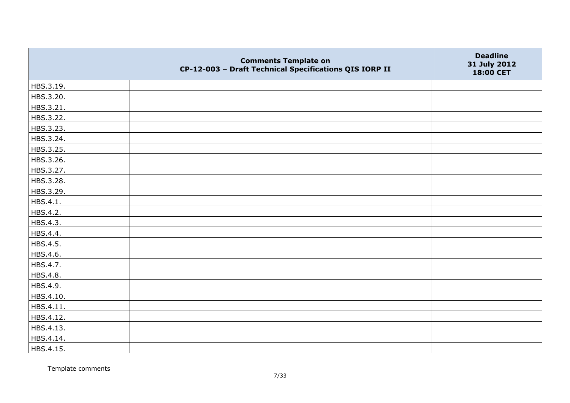|           | <b>Comments Template on</b><br>CP-12-003 - Draft Technical Specifications QIS IORP II | <b>Deadline</b><br>31 July 2012<br>18:00 CET |
|-----------|---------------------------------------------------------------------------------------|----------------------------------------------|
| HBS.3.19. |                                                                                       |                                              |
| HBS.3.20. |                                                                                       |                                              |
| HBS.3.21. |                                                                                       |                                              |
| HBS.3.22. |                                                                                       |                                              |
| HBS.3.23. |                                                                                       |                                              |
| HBS.3.24. |                                                                                       |                                              |
| HBS.3.25. |                                                                                       |                                              |
| HBS.3.26. |                                                                                       |                                              |
| HBS.3.27. |                                                                                       |                                              |
| HBS.3.28. |                                                                                       |                                              |
| HBS.3.29. |                                                                                       |                                              |
| HBS.4.1.  |                                                                                       |                                              |
| HBS.4.2.  |                                                                                       |                                              |
| HBS.4.3.  |                                                                                       |                                              |
| HBS.4.4.  |                                                                                       |                                              |
| HBS.4.5.  |                                                                                       |                                              |
| HBS.4.6.  |                                                                                       |                                              |
| HBS.4.7.  |                                                                                       |                                              |
| HBS.4.8.  |                                                                                       |                                              |
| HBS.4.9.  |                                                                                       |                                              |
| HBS.4.10. |                                                                                       |                                              |
| HBS.4.11. |                                                                                       |                                              |
| HBS.4.12. |                                                                                       |                                              |
| HBS.4.13. |                                                                                       |                                              |
| HBS.4.14. |                                                                                       |                                              |
| HBS.4.15. |                                                                                       |                                              |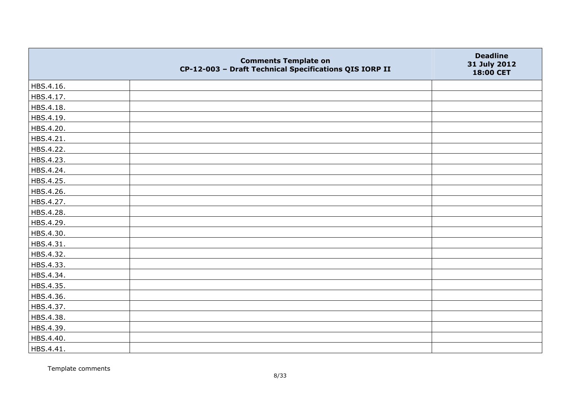|           | <b>Comments Template on</b><br>CP-12-003 - Draft Technical Specifications QIS IORP II | <b>Deadline</b><br>31 July 2012<br>18:00 CET |
|-----------|---------------------------------------------------------------------------------------|----------------------------------------------|
| HBS.4.16. |                                                                                       |                                              |
| HBS.4.17. |                                                                                       |                                              |
| HBS.4.18. |                                                                                       |                                              |
| HBS.4.19. |                                                                                       |                                              |
| HBS.4.20. |                                                                                       |                                              |
| HBS.4.21. |                                                                                       |                                              |
| HBS.4.22. |                                                                                       |                                              |
| HBS.4.23. |                                                                                       |                                              |
| HBS.4.24. |                                                                                       |                                              |
| HBS.4.25. |                                                                                       |                                              |
| HBS.4.26. |                                                                                       |                                              |
| HBS.4.27. |                                                                                       |                                              |
| HBS.4.28. |                                                                                       |                                              |
| HBS.4.29. |                                                                                       |                                              |
| HBS.4.30. |                                                                                       |                                              |
| HBS.4.31. |                                                                                       |                                              |
| HBS.4.32. |                                                                                       |                                              |
| HBS.4.33. |                                                                                       |                                              |
| HBS.4.34. |                                                                                       |                                              |
| HBS.4.35. |                                                                                       |                                              |
| HBS.4.36. |                                                                                       |                                              |
| HBS.4.37. |                                                                                       |                                              |
| HBS.4.38. |                                                                                       |                                              |
| HBS.4.39. |                                                                                       |                                              |
| HBS.4.40. |                                                                                       |                                              |
| HBS.4.41. |                                                                                       |                                              |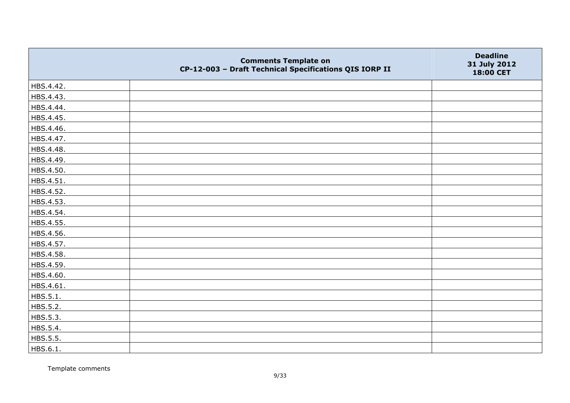|           | <b>Comments Template on</b><br>CP-12-003 - Draft Technical Specifications QIS IORP II | <b>Deadline</b><br>31 July 2012<br>18:00 CET |
|-----------|---------------------------------------------------------------------------------------|----------------------------------------------|
| HBS.4.42. |                                                                                       |                                              |
| HBS.4.43. |                                                                                       |                                              |
| HBS.4.44. |                                                                                       |                                              |
| HBS.4.45. |                                                                                       |                                              |
| HBS.4.46. |                                                                                       |                                              |
| HBS.4.47. |                                                                                       |                                              |
| HBS.4.48. |                                                                                       |                                              |
| HBS.4.49. |                                                                                       |                                              |
| HBS.4.50. |                                                                                       |                                              |
| HBS.4.51. |                                                                                       |                                              |
| HBS.4.52. |                                                                                       |                                              |
| HBS.4.53. |                                                                                       |                                              |
| HBS.4.54. |                                                                                       |                                              |
| HBS.4.55. |                                                                                       |                                              |
| HBS.4.56. |                                                                                       |                                              |
| HBS.4.57. |                                                                                       |                                              |
| HBS.4.58. |                                                                                       |                                              |
| HBS.4.59. |                                                                                       |                                              |
| HBS.4.60. |                                                                                       |                                              |
| HBS.4.61. |                                                                                       |                                              |
| HBS.5.1.  |                                                                                       |                                              |
| HBS.5.2.  |                                                                                       |                                              |
| HBS.5.3.  |                                                                                       |                                              |
| HBS.5.4.  |                                                                                       |                                              |
| HBS.5.5.  |                                                                                       |                                              |
| HBS.6.1.  |                                                                                       |                                              |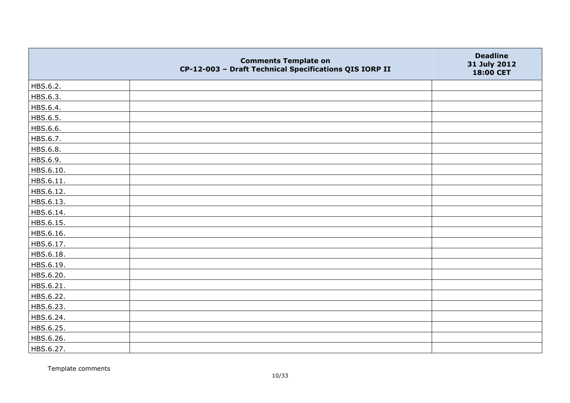|           | <b>Comments Template on</b><br>CP-12-003 - Draft Technical Specifications QIS IORP II | <b>Deadline</b><br>31 July 2012<br>18:00 CET |
|-----------|---------------------------------------------------------------------------------------|----------------------------------------------|
| HBS.6.2.  |                                                                                       |                                              |
| HBS.6.3.  |                                                                                       |                                              |
| HBS.6.4.  |                                                                                       |                                              |
| HBS.6.5.  |                                                                                       |                                              |
| HBS.6.6.  |                                                                                       |                                              |
| HBS.6.7.  |                                                                                       |                                              |
| HBS.6.8.  |                                                                                       |                                              |
| HBS.6.9.  |                                                                                       |                                              |
| HBS.6.10. |                                                                                       |                                              |
| HBS.6.11. |                                                                                       |                                              |
| HBS.6.12. |                                                                                       |                                              |
| HBS.6.13. |                                                                                       |                                              |
| HBS.6.14. |                                                                                       |                                              |
| HBS.6.15. |                                                                                       |                                              |
| HBS.6.16. |                                                                                       |                                              |
| HBS.6.17. |                                                                                       |                                              |
| HBS.6.18. |                                                                                       |                                              |
| HBS.6.19. |                                                                                       |                                              |
| HBS.6.20. |                                                                                       |                                              |
| HBS.6.21. |                                                                                       |                                              |
| HBS.6.22. |                                                                                       |                                              |
| HBS.6.23. |                                                                                       |                                              |
| HBS.6.24. |                                                                                       |                                              |
| HBS.6.25. |                                                                                       |                                              |
| HBS.6.26. |                                                                                       |                                              |
| HBS.6.27. |                                                                                       |                                              |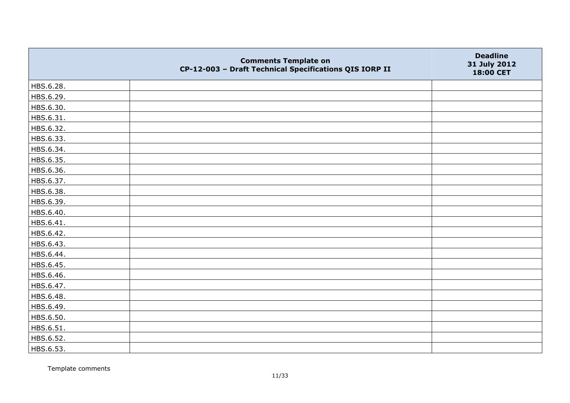|           | <b>Comments Template on</b><br>CP-12-003 - Draft Technical Specifications QIS IORP II | <b>Deadline</b><br>31 July 2012<br>18:00 CET |
|-----------|---------------------------------------------------------------------------------------|----------------------------------------------|
| HBS.6.28. |                                                                                       |                                              |
| HBS.6.29. |                                                                                       |                                              |
| HBS.6.30. |                                                                                       |                                              |
| HBS.6.31. |                                                                                       |                                              |
| HBS.6.32. |                                                                                       |                                              |
| HBS.6.33. |                                                                                       |                                              |
| HBS.6.34. |                                                                                       |                                              |
| HBS.6.35. |                                                                                       |                                              |
| HBS.6.36. |                                                                                       |                                              |
| HBS.6.37. |                                                                                       |                                              |
| HBS.6.38. |                                                                                       |                                              |
| HBS.6.39. |                                                                                       |                                              |
| HBS.6.40. |                                                                                       |                                              |
| HBS.6.41. |                                                                                       |                                              |
| HBS.6.42. |                                                                                       |                                              |
| HBS.6.43. |                                                                                       |                                              |
| HBS.6.44. |                                                                                       |                                              |
| HBS.6.45. |                                                                                       |                                              |
| HBS.6.46. |                                                                                       |                                              |
| HBS.6.47. |                                                                                       |                                              |
| HBS.6.48. |                                                                                       |                                              |
| HBS.6.49. |                                                                                       |                                              |
| HBS.6.50. |                                                                                       |                                              |
| HBS.6.51. |                                                                                       |                                              |
| HBS.6.52. |                                                                                       |                                              |
| HBS.6.53. |                                                                                       |                                              |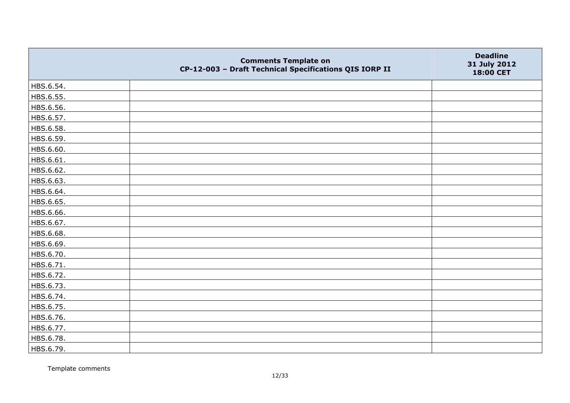|           | <b>Comments Template on</b><br>CP-12-003 - Draft Technical Specifications QIS IORP II | <b>Deadline</b><br>31 July 2012<br>18:00 CET |
|-----------|---------------------------------------------------------------------------------------|----------------------------------------------|
| HBS.6.54. |                                                                                       |                                              |
| HBS.6.55. |                                                                                       |                                              |
| HBS.6.56. |                                                                                       |                                              |
| HBS.6.57. |                                                                                       |                                              |
| HBS.6.58. |                                                                                       |                                              |
| HBS.6.59. |                                                                                       |                                              |
| HBS.6.60. |                                                                                       |                                              |
| HBS.6.61. |                                                                                       |                                              |
| HBS.6.62. |                                                                                       |                                              |
| HBS.6.63. |                                                                                       |                                              |
| HBS.6.64. |                                                                                       |                                              |
| HBS.6.65. |                                                                                       |                                              |
| HBS.6.66. |                                                                                       |                                              |
| HBS.6.67. |                                                                                       |                                              |
| HBS.6.68. |                                                                                       |                                              |
| HBS.6.69. |                                                                                       |                                              |
| HBS.6.70. |                                                                                       |                                              |
| HBS.6.71. |                                                                                       |                                              |
| HBS.6.72. |                                                                                       |                                              |
| HBS.6.73. |                                                                                       |                                              |
| HBS.6.74. |                                                                                       |                                              |
| HBS.6.75. |                                                                                       |                                              |
| HBS.6.76. |                                                                                       |                                              |
| HBS.6.77. |                                                                                       |                                              |
| HBS.6.78. |                                                                                       |                                              |
| HBS.6.79. |                                                                                       |                                              |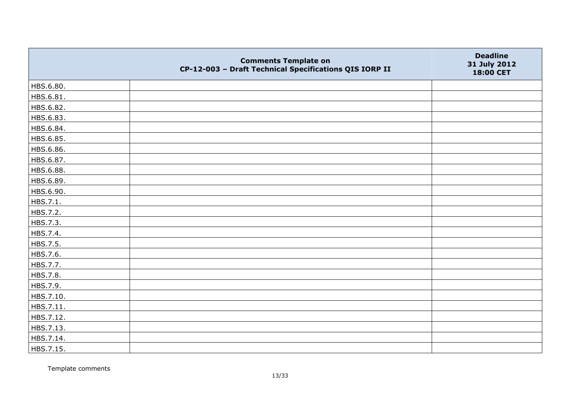|           | <b>Comments Template on</b><br>CP-12-003 - Draft Technical Specifications QIS IORP II | <b>Deadline</b><br>31 July 2012<br>18:00 CET |
|-----------|---------------------------------------------------------------------------------------|----------------------------------------------|
| HBS.6.80. |                                                                                       |                                              |
| HBS.6.81. |                                                                                       |                                              |
| HBS.6.82. |                                                                                       |                                              |
| HBS.6.83. |                                                                                       |                                              |
| HBS.6.84. |                                                                                       |                                              |
| HBS.6.85. |                                                                                       |                                              |
| HBS.6.86. |                                                                                       |                                              |
| HBS.6.87. |                                                                                       |                                              |
| HBS.6.88. |                                                                                       |                                              |
| HBS.6.89. |                                                                                       |                                              |
| HBS.6.90. |                                                                                       |                                              |
| HBS.7.1.  |                                                                                       |                                              |
| HBS.7.2.  |                                                                                       |                                              |
| HBS.7.3.  |                                                                                       |                                              |
| HBS.7.4.  |                                                                                       |                                              |
| HBS.7.5.  |                                                                                       |                                              |
| HBS.7.6.  |                                                                                       |                                              |
| HBS.7.7.  |                                                                                       |                                              |
| HBS.7.8.  |                                                                                       |                                              |
| HBS.7.9.  |                                                                                       |                                              |
| HBS.7.10. |                                                                                       |                                              |
| HBS.7.11. |                                                                                       |                                              |
| HBS.7.12. |                                                                                       |                                              |
| HBS.7.13. |                                                                                       |                                              |
| HBS.7.14. |                                                                                       |                                              |
| HBS.7.15. |                                                                                       |                                              |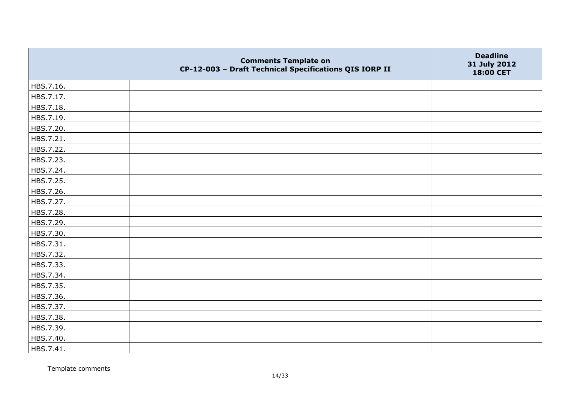|           | <b>Comments Template on</b><br>CP-12-003 - Draft Technical Specifications QIS IORP II | <b>Deadline</b><br>31 July 2012<br>18:00 CET |
|-----------|---------------------------------------------------------------------------------------|----------------------------------------------|
| HBS.7.16. |                                                                                       |                                              |
| HBS.7.17. |                                                                                       |                                              |
| HBS.7.18. |                                                                                       |                                              |
| HBS.7.19. |                                                                                       |                                              |
| HBS.7.20. |                                                                                       |                                              |
| HBS.7.21. |                                                                                       |                                              |
| HBS.7.22. |                                                                                       |                                              |
| HBS.7.23. |                                                                                       |                                              |
| HBS.7.24. |                                                                                       |                                              |
| HBS.7.25. |                                                                                       |                                              |
| HBS.7.26. |                                                                                       |                                              |
| HBS.7.27. |                                                                                       |                                              |
| HBS.7.28. |                                                                                       |                                              |
| HBS.7.29. |                                                                                       |                                              |
| HBS.7.30. |                                                                                       |                                              |
| HBS.7.31. |                                                                                       |                                              |
| HBS.7.32. |                                                                                       |                                              |
| HBS.7.33. |                                                                                       |                                              |
| HBS.7.34. |                                                                                       |                                              |
| HBS.7.35. |                                                                                       |                                              |
| HBS.7.36. |                                                                                       |                                              |
| HBS.7.37. |                                                                                       |                                              |
| HBS.7.38. |                                                                                       |                                              |
| HBS.7.39. |                                                                                       |                                              |
| HBS.7.40. |                                                                                       |                                              |
| HBS.7.41. |                                                                                       |                                              |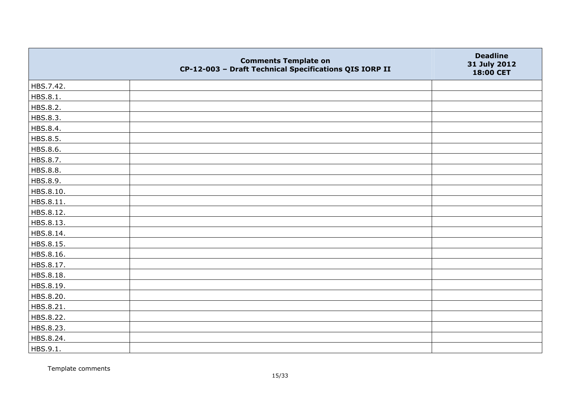|           | <b>Comments Template on</b><br>CP-12-003 - Draft Technical Specifications QIS IORP II | <b>Deadline</b><br>31 July 2012<br>18:00 CET |
|-----------|---------------------------------------------------------------------------------------|----------------------------------------------|
| HBS.7.42. |                                                                                       |                                              |
| HBS.8.1.  |                                                                                       |                                              |
| HBS.8.2.  |                                                                                       |                                              |
| HBS.8.3.  |                                                                                       |                                              |
| HBS.8.4.  |                                                                                       |                                              |
| HBS.8.5.  |                                                                                       |                                              |
| HBS.8.6.  |                                                                                       |                                              |
| HBS.8.7.  |                                                                                       |                                              |
| HBS.8.8.  |                                                                                       |                                              |
| HBS.8.9.  |                                                                                       |                                              |
| HBS.8.10. |                                                                                       |                                              |
| HBS.8.11. |                                                                                       |                                              |
| HBS.8.12. |                                                                                       |                                              |
| HBS.8.13. |                                                                                       |                                              |
| HBS.8.14. |                                                                                       |                                              |
| HBS.8.15. |                                                                                       |                                              |
| HBS.8.16. |                                                                                       |                                              |
| HBS.8.17. |                                                                                       |                                              |
| HBS.8.18. |                                                                                       |                                              |
| HBS.8.19. |                                                                                       |                                              |
| HBS.8.20. |                                                                                       |                                              |
| HBS.8.21. |                                                                                       |                                              |
| HBS.8.22. |                                                                                       |                                              |
| HBS.8.23. |                                                                                       |                                              |
| HBS.8.24. |                                                                                       |                                              |
| HBS.9.1.  |                                                                                       |                                              |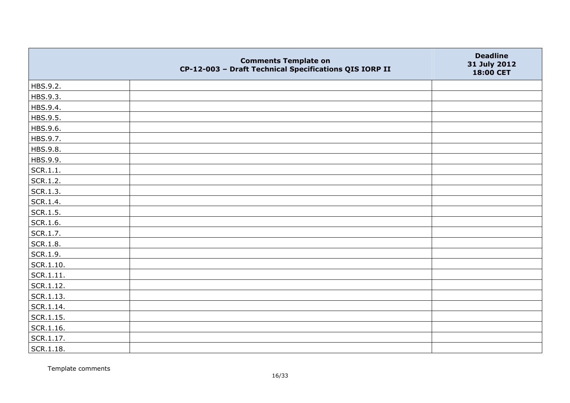|                   | <b>Comments Template on</b><br>CP-12-003 - Draft Technical Specifications QIS IORP II | <b>Deadline</b><br>31 July 2012<br>18:00 CET |
|-------------------|---------------------------------------------------------------------------------------|----------------------------------------------|
| HBS.9.2.          |                                                                                       |                                              |
| HBS.9.3.          |                                                                                       |                                              |
| HBS.9.4.          |                                                                                       |                                              |
| HBS.9.5.          |                                                                                       |                                              |
| HBS.9.6.          |                                                                                       |                                              |
| HBS.9.7.          |                                                                                       |                                              |
| HBS.9.8.          |                                                                                       |                                              |
| HBS.9.9.          |                                                                                       |                                              |
| SCR.1.1.          |                                                                                       |                                              |
| SCR.1.2.          |                                                                                       |                                              |
| SCR.1.3.          |                                                                                       |                                              |
| SCR.1.4.          |                                                                                       |                                              |
| SCR.1.5.          |                                                                                       |                                              |
| SCR.1.6.          |                                                                                       |                                              |
| SCR.1.7.          |                                                                                       |                                              |
| SCR.1.8.          |                                                                                       |                                              |
| SCR.1.9.          |                                                                                       |                                              |
| $\vert$ SCR.1.10. |                                                                                       |                                              |
| SCR.1.11.         |                                                                                       |                                              |
| SCR.1.12.         |                                                                                       |                                              |
| SCR.1.13.         |                                                                                       |                                              |
| SCR.1.14.         |                                                                                       |                                              |
| SCR.1.15.         |                                                                                       |                                              |
| SCR.1.16.         |                                                                                       |                                              |
| SCR.1.17.         |                                                                                       |                                              |
| SCR.1.18.         |                                                                                       |                                              |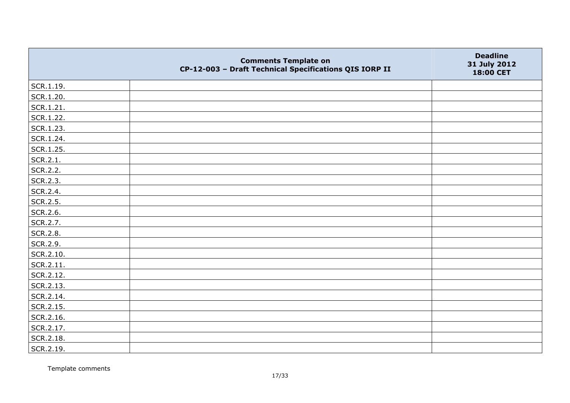|               | <b>Comments Template on</b><br>CP-12-003 - Draft Technical Specifications QIS IORP II | <b>Deadline</b><br>31 July 2012<br>18:00 CET |
|---------------|---------------------------------------------------------------------------------------|----------------------------------------------|
| $ $ SCR.1.19. |                                                                                       |                                              |
| SCR.1.20.     |                                                                                       |                                              |
| SCR.1.21.     |                                                                                       |                                              |
| SCR.1.22.     |                                                                                       |                                              |
| SCR.1.23.     |                                                                                       |                                              |
| SCR.1.24.     |                                                                                       |                                              |
| SCR.1.25.     |                                                                                       |                                              |
| SCR.2.1.      |                                                                                       |                                              |
| SCR.2.2.      |                                                                                       |                                              |
| SCR.2.3.      |                                                                                       |                                              |
| SCR.2.4.      |                                                                                       |                                              |
| SCR.2.5.      |                                                                                       |                                              |
| SCR.2.6.      |                                                                                       |                                              |
| SCR.2.7.      |                                                                                       |                                              |
| SCR.2.8.      |                                                                                       |                                              |
| SCR.2.9.      |                                                                                       |                                              |
| SCR.2.10.     |                                                                                       |                                              |
| SCR.2.11.     |                                                                                       |                                              |
| SCR.2.12.     |                                                                                       |                                              |
| SCR.2.13.     |                                                                                       |                                              |
| SCR.2.14.     |                                                                                       |                                              |
| SCR.2.15.     |                                                                                       |                                              |
| SCR.2.16.     |                                                                                       |                                              |
| SCR.2.17.     |                                                                                       |                                              |
| SCR.2.18.     |                                                                                       |                                              |
| SCR.2.19.     |                                                                                       |                                              |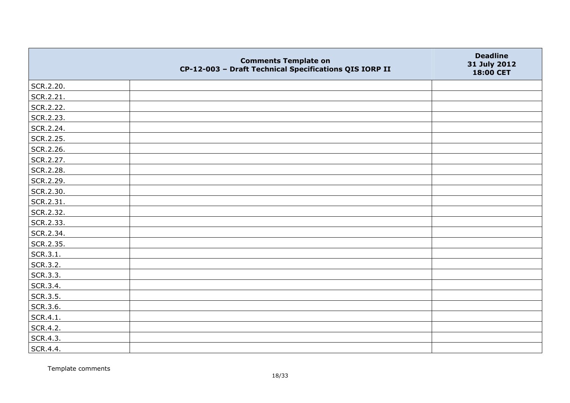|           | <b>Comments Template on</b><br>CP-12-003 - Draft Technical Specifications QIS IORP II | <b>Deadline</b><br>31 July 2012<br>18:00 CET |
|-----------|---------------------------------------------------------------------------------------|----------------------------------------------|
| SCR.2.20. |                                                                                       |                                              |
| SCR.2.21. |                                                                                       |                                              |
| SCR.2.22. |                                                                                       |                                              |
| SCR.2.23. |                                                                                       |                                              |
| SCR.2.24. |                                                                                       |                                              |
| SCR.2.25. |                                                                                       |                                              |
| SCR.2.26. |                                                                                       |                                              |
| SCR.2.27. |                                                                                       |                                              |
| SCR.2.28. |                                                                                       |                                              |
| SCR.2.29. |                                                                                       |                                              |
| SCR.2.30. |                                                                                       |                                              |
| SCR.2.31. |                                                                                       |                                              |
| SCR.2.32. |                                                                                       |                                              |
| SCR.2.33. |                                                                                       |                                              |
| SCR.2.34. |                                                                                       |                                              |
| SCR.2.35. |                                                                                       |                                              |
| SCR.3.1.  |                                                                                       |                                              |
| SCR.3.2.  |                                                                                       |                                              |
| SCR.3.3.  |                                                                                       |                                              |
| SCR.3.4.  |                                                                                       |                                              |
| SCR.3.5.  |                                                                                       |                                              |
| SCR.3.6.  |                                                                                       |                                              |
| SCR.4.1.  |                                                                                       |                                              |
| SCR.4.2.  |                                                                                       |                                              |
| SCR.4.3.  |                                                                                       |                                              |
| SCR.4.4.  |                                                                                       |                                              |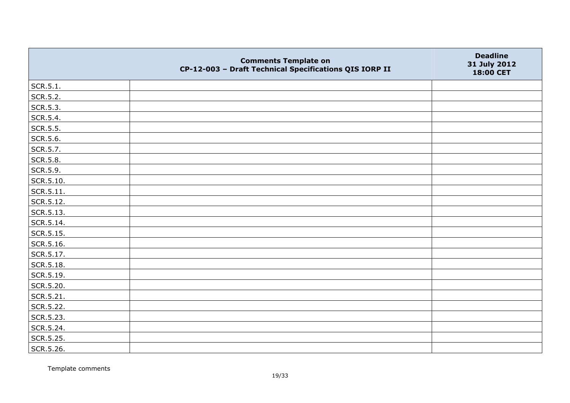|           | <b>Comments Template on</b><br>CP-12-003 - Draft Technical Specifications QIS IORP II | <b>Deadline</b><br>31 July 2012<br>18:00 CET |
|-----------|---------------------------------------------------------------------------------------|----------------------------------------------|
| SCR.5.1.  |                                                                                       |                                              |
| SCR.5.2.  |                                                                                       |                                              |
| SCR.5.3.  |                                                                                       |                                              |
| SCR.5.4.  |                                                                                       |                                              |
| SCR.5.5.  |                                                                                       |                                              |
| SCR.5.6.  |                                                                                       |                                              |
| SCR.5.7.  |                                                                                       |                                              |
| SCR.5.8.  |                                                                                       |                                              |
| SCR.5.9.  |                                                                                       |                                              |
| SCR.5.10. |                                                                                       |                                              |
| SCR.5.11. |                                                                                       |                                              |
| SCR.5.12. |                                                                                       |                                              |
| SCR.5.13. |                                                                                       |                                              |
| SCR.5.14. |                                                                                       |                                              |
| SCR.5.15. |                                                                                       |                                              |
| SCR.5.16. |                                                                                       |                                              |
| SCR.5.17. |                                                                                       |                                              |
| SCR.5.18. |                                                                                       |                                              |
| SCR.5.19. |                                                                                       |                                              |
| SCR.5.20. |                                                                                       |                                              |
| SCR.5.21. |                                                                                       |                                              |
| SCR.5.22. |                                                                                       |                                              |
| SCR.5.23. |                                                                                       |                                              |
| SCR.5.24. |                                                                                       |                                              |
| SCR.5.25. |                                                                                       |                                              |
| SCR.5.26. |                                                                                       |                                              |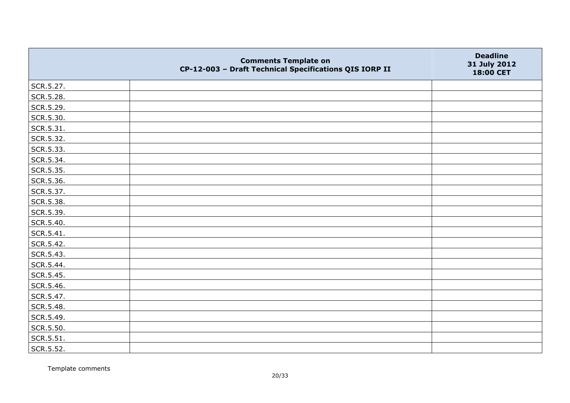|           | <b>Comments Template on</b><br>CP-12-003 - Draft Technical Specifications QIS IORP II | <b>Deadline</b><br>31 July 2012<br>18:00 CET |
|-----------|---------------------------------------------------------------------------------------|----------------------------------------------|
| SCR.5.27. |                                                                                       |                                              |
| SCR.5.28. |                                                                                       |                                              |
| SCR.5.29. |                                                                                       |                                              |
| SCR.5.30. |                                                                                       |                                              |
| SCR.5.31. |                                                                                       |                                              |
| SCR.5.32. |                                                                                       |                                              |
| SCR.5.33. |                                                                                       |                                              |
| SCR.5.34. |                                                                                       |                                              |
| SCR.5.35. |                                                                                       |                                              |
| SCR.5.36. |                                                                                       |                                              |
| SCR.5.37. |                                                                                       |                                              |
| SCR.5.38. |                                                                                       |                                              |
| SCR.5.39. |                                                                                       |                                              |
| SCR.5.40. |                                                                                       |                                              |
| SCR.5.41. |                                                                                       |                                              |
| SCR.5.42. |                                                                                       |                                              |
| SCR.5.43. |                                                                                       |                                              |
| SCR.5.44. |                                                                                       |                                              |
| SCR.5.45. |                                                                                       |                                              |
| SCR.5.46. |                                                                                       |                                              |
| SCR.5.47. |                                                                                       |                                              |
| SCR.5.48. |                                                                                       |                                              |
| SCR.5.49. |                                                                                       |                                              |
| SCR.5.50. |                                                                                       |                                              |
| SCR.5.51. |                                                                                       |                                              |
| SCR.5.52. |                                                                                       |                                              |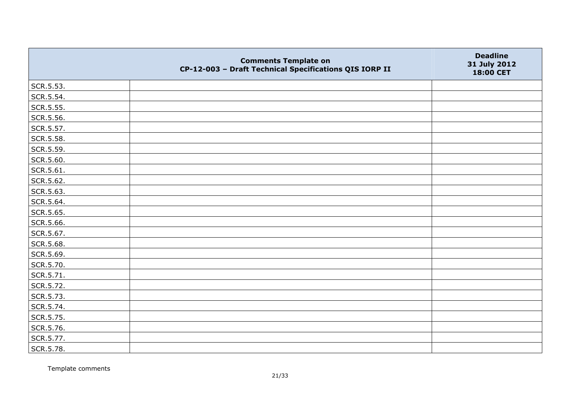|           | <b>Comments Template on</b><br>CP-12-003 - Draft Technical Specifications QIS IORP II | <b>Deadline</b><br>31 July 2012<br>18:00 CET |
|-----------|---------------------------------------------------------------------------------------|----------------------------------------------|
| SCR.5.53. |                                                                                       |                                              |
| SCR.5.54. |                                                                                       |                                              |
| SCR.5.55. |                                                                                       |                                              |
| SCR.5.56. |                                                                                       |                                              |
| SCR.5.57. |                                                                                       |                                              |
| SCR.5.58. |                                                                                       |                                              |
| SCR.5.59. |                                                                                       |                                              |
| SCR.5.60. |                                                                                       |                                              |
| SCR.5.61. |                                                                                       |                                              |
| SCR.5.62. |                                                                                       |                                              |
| SCR.5.63. |                                                                                       |                                              |
| SCR.5.64. |                                                                                       |                                              |
| SCR.5.65. |                                                                                       |                                              |
| SCR.5.66. |                                                                                       |                                              |
| SCR.5.67. |                                                                                       |                                              |
| SCR.5.68. |                                                                                       |                                              |
| SCR.5.69. |                                                                                       |                                              |
| SCR.5.70. |                                                                                       |                                              |
| SCR.5.71. |                                                                                       |                                              |
| SCR.5.72. |                                                                                       |                                              |
| SCR.5.73. |                                                                                       |                                              |
| SCR.5.74. |                                                                                       |                                              |
| SCR.5.75. |                                                                                       |                                              |
| SCR.5.76. |                                                                                       |                                              |
| SCR.5.77. |                                                                                       |                                              |
| SCR.5.78. |                                                                                       |                                              |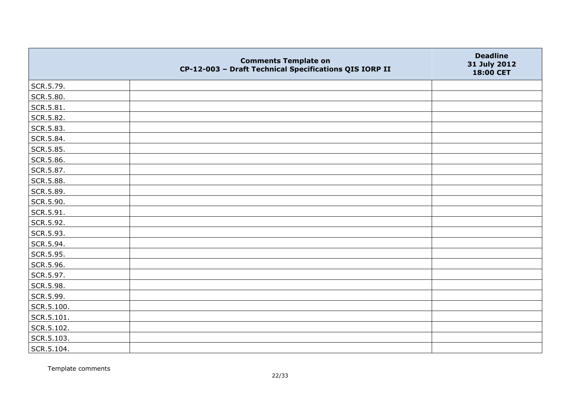|            | <b>Comments Template on</b><br>CP-12-003 - Draft Technical Specifications QIS IORP II | <b>Deadline</b><br>31 July 2012<br>18:00 CET |
|------------|---------------------------------------------------------------------------------------|----------------------------------------------|
| SCR.5.79.  |                                                                                       |                                              |
| SCR.5.80.  |                                                                                       |                                              |
| SCR.5.81.  |                                                                                       |                                              |
| SCR.5.82.  |                                                                                       |                                              |
| SCR.5.83.  |                                                                                       |                                              |
| SCR.5.84.  |                                                                                       |                                              |
| SCR.5.85.  |                                                                                       |                                              |
| SCR.5.86.  |                                                                                       |                                              |
| SCR.5.87.  |                                                                                       |                                              |
| SCR.5.88.  |                                                                                       |                                              |
| SCR.5.89.  |                                                                                       |                                              |
| SCR.5.90.  |                                                                                       |                                              |
| SCR.5.91.  |                                                                                       |                                              |
| SCR.5.92.  |                                                                                       |                                              |
| SCR.5.93.  |                                                                                       |                                              |
| SCR.5.94.  |                                                                                       |                                              |
| SCR.5.95.  |                                                                                       |                                              |
| SCR.5.96.  |                                                                                       |                                              |
| SCR.5.97.  |                                                                                       |                                              |
| SCR.5.98.  |                                                                                       |                                              |
| SCR.5.99.  |                                                                                       |                                              |
| SCR.5.100. |                                                                                       |                                              |
| SCR.5.101. |                                                                                       |                                              |
| SCR.5.102. |                                                                                       |                                              |
| SCR.5.103. |                                                                                       |                                              |
| SCR.5.104. |                                                                                       |                                              |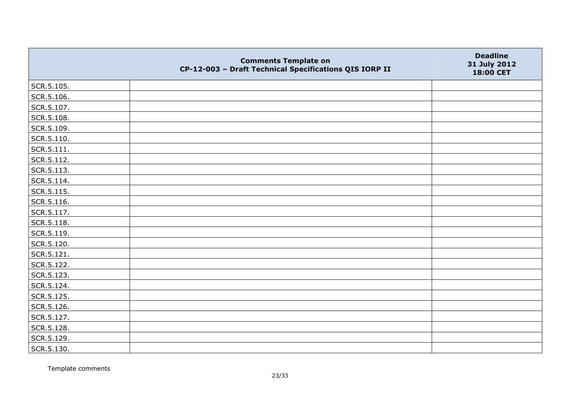|            | <b>Comments Template on</b><br>CP-12-003 - Draft Technical Specifications QIS IORP II | <b>Deadline</b><br>31 July 2012<br>18:00 CET |
|------------|---------------------------------------------------------------------------------------|----------------------------------------------|
| SCR.5.105. |                                                                                       |                                              |
| SCR.5.106. |                                                                                       |                                              |
| SCR.5.107. |                                                                                       |                                              |
| SCR.5.108. |                                                                                       |                                              |
| SCR.5.109. |                                                                                       |                                              |
| SCR.5.110. |                                                                                       |                                              |
| SCR.5.111. |                                                                                       |                                              |
| SCR.5.112. |                                                                                       |                                              |
| SCR.5.113. |                                                                                       |                                              |
| SCR.5.114. |                                                                                       |                                              |
| SCR.5.115. |                                                                                       |                                              |
| SCR.5.116. |                                                                                       |                                              |
| SCR.5.117. |                                                                                       |                                              |
| SCR.5.118. |                                                                                       |                                              |
| SCR.5.119. |                                                                                       |                                              |
| SCR.5.120. |                                                                                       |                                              |
| SCR.5.121. |                                                                                       |                                              |
| SCR.5.122. |                                                                                       |                                              |
| SCR.5.123. |                                                                                       |                                              |
| SCR.5.124. |                                                                                       |                                              |
| SCR.5.125. |                                                                                       |                                              |
| SCR.5.126. |                                                                                       |                                              |
| SCR.5.127. |                                                                                       |                                              |
| SCR.5.128. |                                                                                       |                                              |
| SCR.5.129. |                                                                                       |                                              |
| SCR.5.130. |                                                                                       |                                              |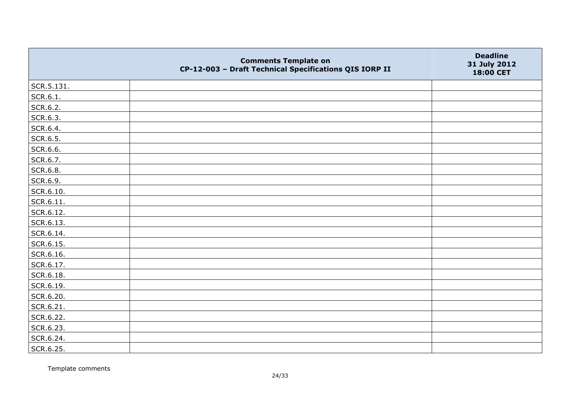|                   | <b>Comments Template on</b><br>CP-12-003 - Draft Technical Specifications QIS IORP II | <b>Deadline</b><br>31 July 2012<br>18:00 CET |
|-------------------|---------------------------------------------------------------------------------------|----------------------------------------------|
| SCR.5.131.        |                                                                                       |                                              |
| SCR.6.1.          |                                                                                       |                                              |
| SCR.6.2.          |                                                                                       |                                              |
| SCR.6.3.          |                                                                                       |                                              |
| SCR.6.4.          |                                                                                       |                                              |
| SCR.6.5.          |                                                                                       |                                              |
| SCR.6.6.          |                                                                                       |                                              |
| SCR.6.7.          |                                                                                       |                                              |
| SCR.6.8.          |                                                                                       |                                              |
| SCR.6.9.          |                                                                                       |                                              |
| SCR.6.10.         |                                                                                       |                                              |
| $\vert$ SCR.6.11. |                                                                                       |                                              |
| SCR.6.12.         |                                                                                       |                                              |
| SCR.6.13.         |                                                                                       |                                              |
| SCR.6.14.         |                                                                                       |                                              |
| SCR.6.15.         |                                                                                       |                                              |
| SCR.6.16.         |                                                                                       |                                              |
| SCR.6.17.         |                                                                                       |                                              |
| SCR.6.18.         |                                                                                       |                                              |
| SCR.6.19.         |                                                                                       |                                              |
| SCR.6.20.         |                                                                                       |                                              |
| SCR.6.21.         |                                                                                       |                                              |
| SCR.6.22.         |                                                                                       |                                              |
| SCR.6.23.         |                                                                                       |                                              |
| SCR.6.24.         |                                                                                       |                                              |
| SCR.6.25.         |                                                                                       |                                              |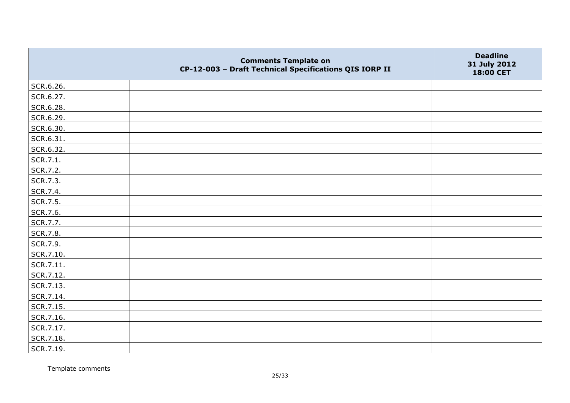|           | <b>Comments Template on</b><br>CP-12-003 - Draft Technical Specifications QIS IORP II | <b>Deadline</b><br>31 July 2012<br>18:00 CET |
|-----------|---------------------------------------------------------------------------------------|----------------------------------------------|
| SCR.6.26. |                                                                                       |                                              |
| SCR.6.27. |                                                                                       |                                              |
| SCR.6.28. |                                                                                       |                                              |
| SCR.6.29. |                                                                                       |                                              |
| SCR.6.30. |                                                                                       |                                              |
| SCR.6.31. |                                                                                       |                                              |
| SCR.6.32. |                                                                                       |                                              |
| SCR.7.1.  |                                                                                       |                                              |
| SCR.7.2.  |                                                                                       |                                              |
| SCR.7.3.  |                                                                                       |                                              |
| SCR.7.4.  |                                                                                       |                                              |
| SCR.7.5.  |                                                                                       |                                              |
| SCR.7.6.  |                                                                                       |                                              |
| SCR.7.7.  |                                                                                       |                                              |
| SCR.7.8.  |                                                                                       |                                              |
| SCR.7.9.  |                                                                                       |                                              |
| SCR.7.10. |                                                                                       |                                              |
| SCR.7.11. |                                                                                       |                                              |
| SCR.7.12. |                                                                                       |                                              |
| SCR.7.13. |                                                                                       |                                              |
| SCR.7.14. |                                                                                       |                                              |
| SCR.7.15. |                                                                                       |                                              |
| SCR.7.16. |                                                                                       |                                              |
| SCR.7.17. |                                                                                       |                                              |
| SCR.7.18. |                                                                                       |                                              |
| SCR.7.19. |                                                                                       |                                              |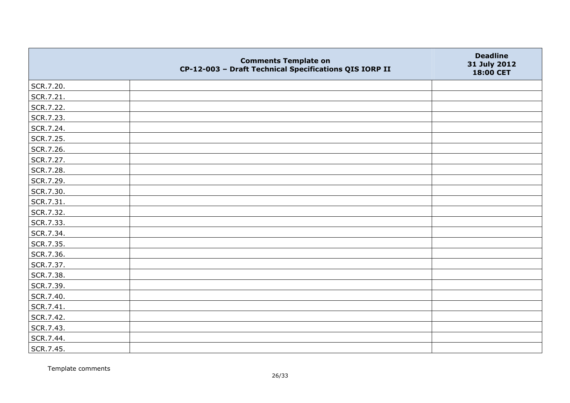|           | <b>Comments Template on</b><br>CP-12-003 - Draft Technical Specifications QIS IORP II | <b>Deadline</b><br>31 July 2012<br>18:00 CET |
|-----------|---------------------------------------------------------------------------------------|----------------------------------------------|
| SCR.7.20. |                                                                                       |                                              |
| SCR.7.21. |                                                                                       |                                              |
| SCR.7.22. |                                                                                       |                                              |
| SCR.7.23. |                                                                                       |                                              |
| SCR.7.24. |                                                                                       |                                              |
| SCR.7.25. |                                                                                       |                                              |
| SCR.7.26. |                                                                                       |                                              |
| SCR.7.27. |                                                                                       |                                              |
| SCR.7.28. |                                                                                       |                                              |
| SCR.7.29. |                                                                                       |                                              |
| SCR.7.30. |                                                                                       |                                              |
| SCR.7.31. |                                                                                       |                                              |
| SCR.7.32. |                                                                                       |                                              |
| SCR.7.33. |                                                                                       |                                              |
| SCR.7.34. |                                                                                       |                                              |
| SCR.7.35. |                                                                                       |                                              |
| SCR.7.36. |                                                                                       |                                              |
| SCR.7.37. |                                                                                       |                                              |
| SCR.7.38. |                                                                                       |                                              |
| SCR.7.39. |                                                                                       |                                              |
| SCR.7.40. |                                                                                       |                                              |
| SCR.7.41. |                                                                                       |                                              |
| SCR.7.42. |                                                                                       |                                              |
| SCR.7.43. |                                                                                       |                                              |
| SCR.7.44. |                                                                                       |                                              |
| SCR.7.45. |                                                                                       |                                              |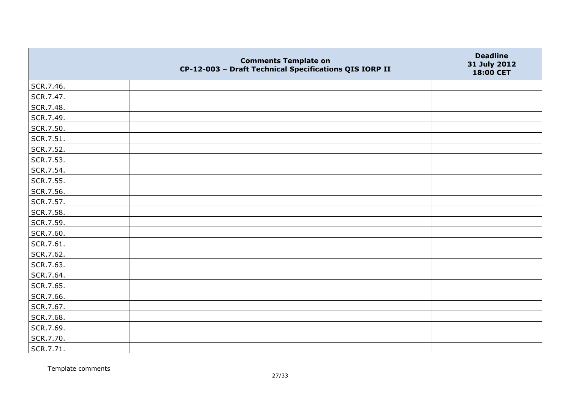|           | <b>Comments Template on</b><br>CP-12-003 - Draft Technical Specifications QIS IORP II | <b>Deadline</b><br>31 July 2012<br>18:00 CET |
|-----------|---------------------------------------------------------------------------------------|----------------------------------------------|
| SCR.7.46. |                                                                                       |                                              |
| SCR.7.47. |                                                                                       |                                              |
| SCR.7.48. |                                                                                       |                                              |
| SCR.7.49. |                                                                                       |                                              |
| SCR.7.50. |                                                                                       |                                              |
| SCR.7.51. |                                                                                       |                                              |
| SCR.7.52. |                                                                                       |                                              |
| SCR.7.53. |                                                                                       |                                              |
| SCR.7.54. |                                                                                       |                                              |
| SCR.7.55. |                                                                                       |                                              |
| SCR.7.56. |                                                                                       |                                              |
| SCR.7.57. |                                                                                       |                                              |
| SCR.7.58. |                                                                                       |                                              |
| SCR.7.59. |                                                                                       |                                              |
| SCR.7.60. |                                                                                       |                                              |
| SCR.7.61. |                                                                                       |                                              |
| SCR.7.62. |                                                                                       |                                              |
| SCR.7.63. |                                                                                       |                                              |
| SCR.7.64. |                                                                                       |                                              |
| SCR.7.65. |                                                                                       |                                              |
| SCR.7.66. |                                                                                       |                                              |
| SCR.7.67. |                                                                                       |                                              |
| SCR.7.68. |                                                                                       |                                              |
| SCR.7.69. |                                                                                       |                                              |
| SCR.7.70. |                                                                                       |                                              |
| SCR.7.71. |                                                                                       |                                              |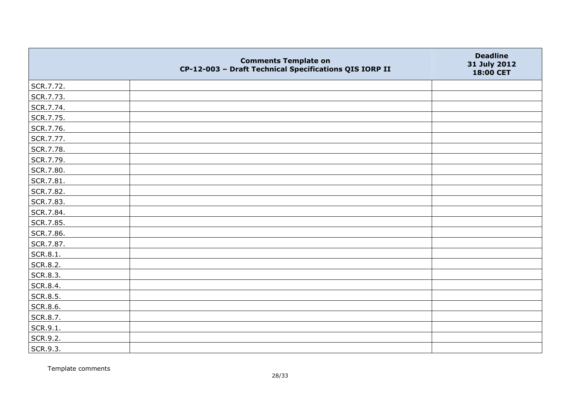|                 | <b>Comments Template on</b><br>CP-12-003 - Draft Technical Specifications QIS IORP II | <b>Deadline</b><br>31 July 2012<br>18:00 CET |
|-----------------|---------------------------------------------------------------------------------------|----------------------------------------------|
| SCR.7.72.       |                                                                                       |                                              |
| SCR.7.73.       |                                                                                       |                                              |
| SCR.7.74.       |                                                                                       |                                              |
| SCR.7.75.       |                                                                                       |                                              |
| SCR.7.76.       |                                                                                       |                                              |
| SCR.7.77.       |                                                                                       |                                              |
| SCR.7.78.       |                                                                                       |                                              |
| SCR.7.79.       |                                                                                       |                                              |
| SCR.7.80.       |                                                                                       |                                              |
| SCR.7.81.       |                                                                                       |                                              |
| SCR.7.82.       |                                                                                       |                                              |
| SCR.7.83.       |                                                                                       |                                              |
| SCR.7.84.       |                                                                                       |                                              |
| SCR.7.85.       |                                                                                       |                                              |
| SCR.7.86.       |                                                                                       |                                              |
| SCR.7.87.       |                                                                                       |                                              |
| SCR.8.1.        |                                                                                       |                                              |
| SCR.8.2.        |                                                                                       |                                              |
| SCR.8.3.        |                                                                                       |                                              |
| SCR.8.4.        |                                                                                       |                                              |
| SCR.8.5.        |                                                                                       |                                              |
| <b>SCR.8.6.</b> |                                                                                       |                                              |
| SCR.8.7.        |                                                                                       |                                              |
| SCR.9.1.        |                                                                                       |                                              |
| SCR.9.2.        |                                                                                       |                                              |
| SCR.9.3.        |                                                                                       |                                              |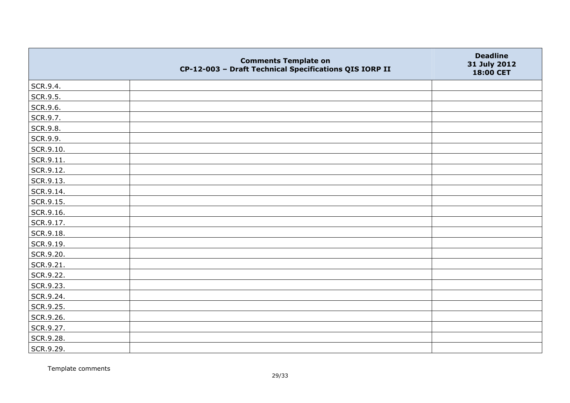|           | <b>Comments Template on</b><br>CP-12-003 - Draft Technical Specifications QIS IORP II | <b>Deadline</b><br>31 July 2012<br>18:00 CET |
|-----------|---------------------------------------------------------------------------------------|----------------------------------------------|
| SCR.9.4.  |                                                                                       |                                              |
| SCR.9.5.  |                                                                                       |                                              |
| SCR.9.6.  |                                                                                       |                                              |
| SCR.9.7.  |                                                                                       |                                              |
| SCR.9.8.  |                                                                                       |                                              |
| SCR.9.9.  |                                                                                       |                                              |
| SCR.9.10. |                                                                                       |                                              |
| SCR.9.11. |                                                                                       |                                              |
| SCR.9.12. |                                                                                       |                                              |
| SCR.9.13. |                                                                                       |                                              |
| SCR.9.14. |                                                                                       |                                              |
| SCR.9.15. |                                                                                       |                                              |
| SCR.9.16. |                                                                                       |                                              |
| SCR.9.17. |                                                                                       |                                              |
| SCR.9.18. |                                                                                       |                                              |
| SCR.9.19. |                                                                                       |                                              |
| SCR.9.20. |                                                                                       |                                              |
| SCR.9.21. |                                                                                       |                                              |
| SCR.9.22. |                                                                                       |                                              |
| SCR.9.23. |                                                                                       |                                              |
| SCR.9.24. |                                                                                       |                                              |
| SCR.9.25. |                                                                                       |                                              |
| SCR.9.26. |                                                                                       |                                              |
| SCR.9.27. |                                                                                       |                                              |
| SCR.9.28. |                                                                                       |                                              |
| SCR.9.29. |                                                                                       |                                              |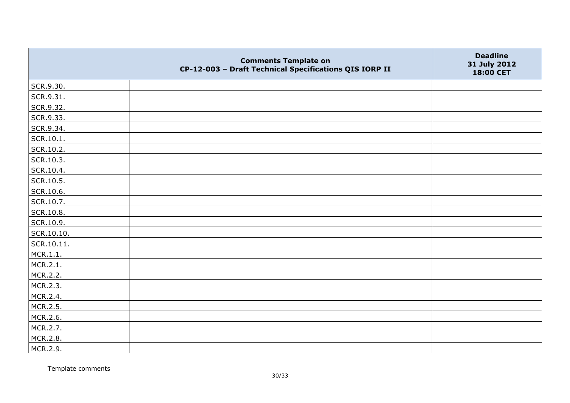|            | <b>Comments Template on</b><br>CP-12-003 - Draft Technical Specifications QIS IORP II | <b>Deadline</b><br>31 July 2012<br>18:00 CET |
|------------|---------------------------------------------------------------------------------------|----------------------------------------------|
| SCR.9.30.  |                                                                                       |                                              |
| SCR.9.31.  |                                                                                       |                                              |
| SCR.9.32.  |                                                                                       |                                              |
| SCR.9.33.  |                                                                                       |                                              |
| SCR.9.34.  |                                                                                       |                                              |
| SCR.10.1.  |                                                                                       |                                              |
| SCR.10.2.  |                                                                                       |                                              |
| SCR.10.3.  |                                                                                       |                                              |
| SCR.10.4.  |                                                                                       |                                              |
| SCR.10.5.  |                                                                                       |                                              |
| SCR.10.6.  |                                                                                       |                                              |
| SCR.10.7.  |                                                                                       |                                              |
| SCR.10.8.  |                                                                                       |                                              |
| SCR.10.9.  |                                                                                       |                                              |
| SCR.10.10. |                                                                                       |                                              |
| SCR.10.11. |                                                                                       |                                              |
| MCR.1.1.   |                                                                                       |                                              |
| MCR.2.1.   |                                                                                       |                                              |
| MCR.2.2.   |                                                                                       |                                              |
| MCR.2.3.   |                                                                                       |                                              |
| MCR.2.4.   |                                                                                       |                                              |
| MCR.2.5.   |                                                                                       |                                              |
| MCR.2.6.   |                                                                                       |                                              |
| MCR.2.7.   |                                                                                       |                                              |
| MCR.2.8.   |                                                                                       |                                              |
| MCR.2.9.   |                                                                                       |                                              |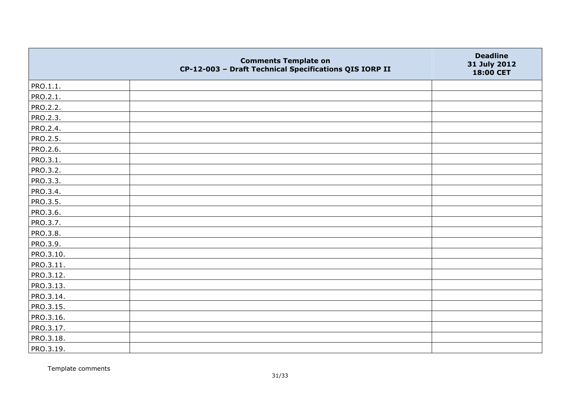|                 | <b>Comments Template on</b><br>CP-12-003 - Draft Technical Specifications QIS IORP II | <b>Deadline</b><br>31 July 2012<br>18:00 CET |
|-----------------|---------------------------------------------------------------------------------------|----------------------------------------------|
| PRO.1.1.        |                                                                                       |                                              |
| PRO.2.1.        |                                                                                       |                                              |
| <b>PRO.2.2.</b> |                                                                                       |                                              |
| PRO.2.3.        |                                                                                       |                                              |
| PRO.2.4.        |                                                                                       |                                              |
| PRO.2.5.        |                                                                                       |                                              |
| PRO.2.6.        |                                                                                       |                                              |
| PRO.3.1.        |                                                                                       |                                              |
| PRO.3.2.        |                                                                                       |                                              |
| PRO.3.3.        |                                                                                       |                                              |
| PRO.3.4.        |                                                                                       |                                              |
| PRO.3.5.        |                                                                                       |                                              |
| PRO.3.6.        |                                                                                       |                                              |
| PRO.3.7.        |                                                                                       |                                              |
| PRO.3.8.        |                                                                                       |                                              |
| PRO.3.9.        |                                                                                       |                                              |
| PRO.3.10.       |                                                                                       |                                              |
| PRO.3.11.       |                                                                                       |                                              |
| PRO.3.12.       |                                                                                       |                                              |
| PRO.3.13.       |                                                                                       |                                              |
| PRO.3.14.       |                                                                                       |                                              |
| PRO.3.15.       |                                                                                       |                                              |
| PRO.3.16.       |                                                                                       |                                              |
| PRO.3.17.       |                                                                                       |                                              |
| PRO.3.18.       |                                                                                       |                                              |
| PRO.3.19.       |                                                                                       |                                              |